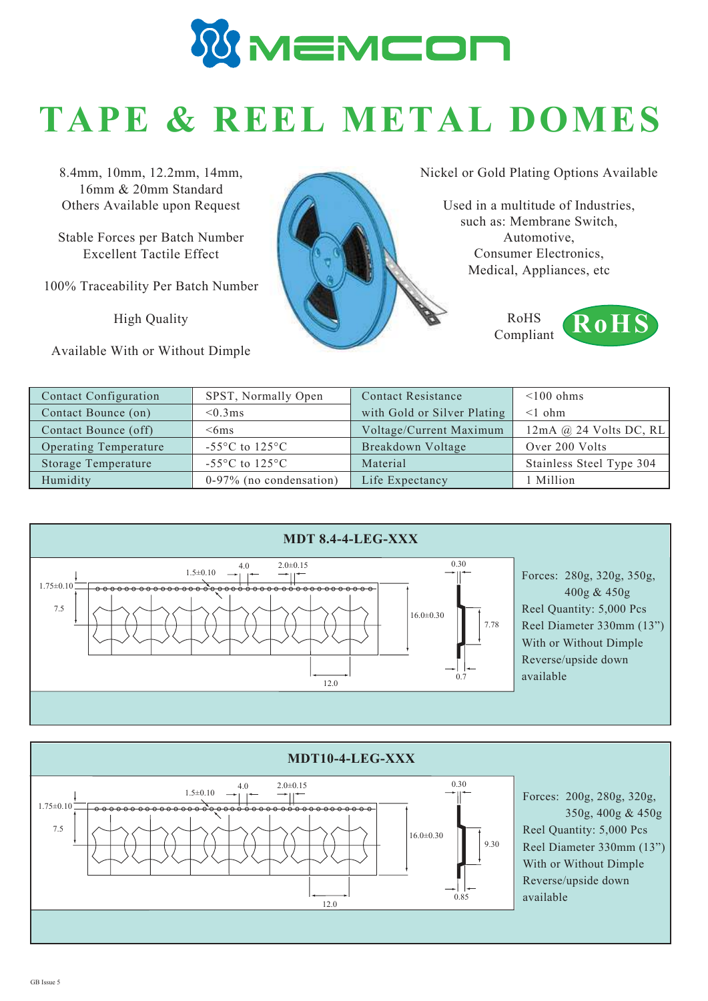

## **TAPE & REEL METAL DOMES**

8.4mm, 10mm, 12.2mm, 14mm, 16mm & 20mm Standard Others Available upon Request

Stable Forces per Batch Number Excellent Tactile Effect

100% Traceability Per Batch Number

High Quality

Available With or Without Dimple

Nickel or Gold Plating Options Available

Used in a multitude of Industries, such as: Membrane Switch, Automotive, Consumer Electronics, Medical, Appliances, etc

> RoHS Compliant



| Contact Configuration | SPST, Normally Open                                  | <b>Contact Resistance</b>   | $\leq 100$ ohms          |
|-----------------------|------------------------------------------------------|-----------------------------|--------------------------|
| Contact Bounce (on)   | $< 0.3 \text{ms}$                                    | with Gold or Silver Plating | $\leq$ 0 ohm             |
| Contact Bounce (off)  | $<$ 6ms                                              | Voltage/Current Maximum     | $12mA$ @ 24 Volts DC, RL |
| Operating Temperature | -55 $\mathrm{^{\circ}C}$ to 125 $\mathrm{^{\circ}C}$ | Breakdown Voltage           | Over 200 Volts           |
| Storage Temperature   | $-55^{\circ}$ C to $125^{\circ}$ C                   | Material                    | Stainless Steel Type 304 |
| Humidity              | $0-97\%$ (no condensation)                           | Life Expectancy             | l Million                |





Forces: 200g, 280g, 320g, 350g, 400g & 450g Reel Quantity: 5,000 Pcs Reel Diameter 330mm (13") With or Without Dimple Reverse/upside down